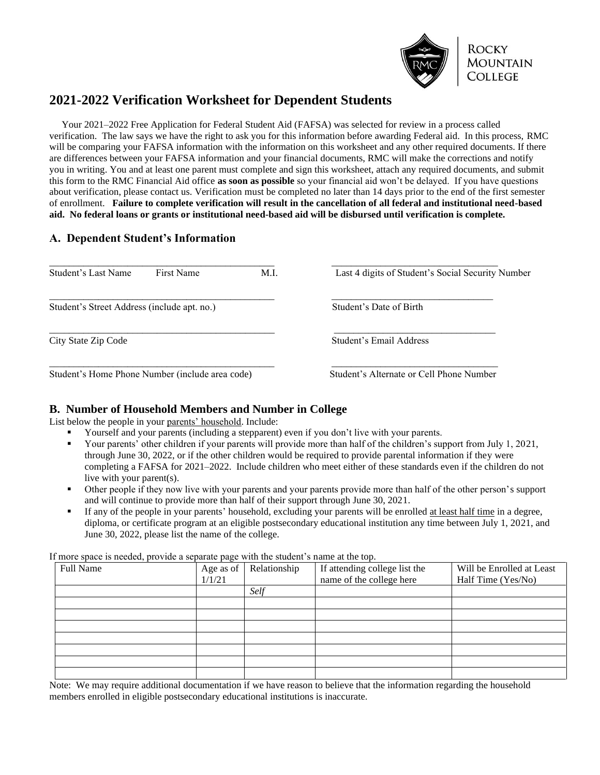

# **2021-2022 Verification Worksheet for Dependent Students**

 Your 2021–2022 Free Application for Federal Student Aid (FAFSA) was selected for review in a process called verification. The law says we have the right to ask you for this information before awarding Federal aid. In this process, RMC will be comparing your FAFSA information with the information on this worksheet and any other required documents. If there are differences between your FAFSA information and your financial documents, RMC will make the corrections and notify you in writing. You and at least one parent must complete and sign this worksheet, attach any required documents, and submit this form to the RMC Financial Aid office **as soon as possible** so your financial aid won't be delayed. If you have questions about verification, please contact us. Verification must be completed no later than 14 days prior to the end of the first semester of enrollment. **Failure to complete verification will result in the cancellation of all federal and institutional need-based aid. No federal loans or grants or institutional need-based aid will be disbursed until verification is complete.**

## **A. Dependent Student's Information**

| Student's Last Name<br>First Name               | M.I.                                     | Last 4 digits of Student's Social Security Number |
|-------------------------------------------------|------------------------------------------|---------------------------------------------------|
| Student's Street Address (include apt. no.)     | Student's Date of Birth                  |                                                   |
| City State Zip Code                             | Student's Email Address                  |                                                   |
| Student's Home Phone Number (include area code) | Student's Alternate or Cell Phone Number |                                                   |

## **B. Number of Household Members and Number in College**

List below the people in your parents' household. Include:

- Yourself and your parents (including a stepparent) even if you don't live with your parents.
- Your parents' other children if your parents will provide more than half of the children's support from July 1, 2021, through June 30, 2022, or if the other children would be required to provide parental information if they were completing a FAFSA for 2021–2022. Include children who meet either of these standards even if the children do not live with your parent(s).
- Other people if they now live with your parents and your parents provide more than half of the other person's support and will continue to provide more than half of their support through June 30, 2021.
- If any of the people in your parents' household, excluding your parents will be enrolled at least half time in a degree, diploma, or certificate program at an eligible postsecondary educational institution any time between July 1, 2021, and June 30, 2022, please list the name of the college.

If more space is needed, provide a separate page with the student's name at the top.

| Full Name | Age as of<br>1/1/21 | Relationship | If attending college list the<br>name of the college here | Will be Enrolled at Least<br>Half Time (Yes/No) |
|-----------|---------------------|--------------|-----------------------------------------------------------|-------------------------------------------------|
|           |                     | Self         |                                                           |                                                 |
|           |                     |              |                                                           |                                                 |
|           |                     |              |                                                           |                                                 |
|           |                     |              |                                                           |                                                 |
|           |                     |              |                                                           |                                                 |
|           |                     |              |                                                           |                                                 |
|           |                     |              |                                                           |                                                 |
|           |                     |              |                                                           |                                                 |

Note: We may require additional documentation if we have reason to believe that the information regarding the household members enrolled in eligible postsecondary educational institutions is inaccurate.